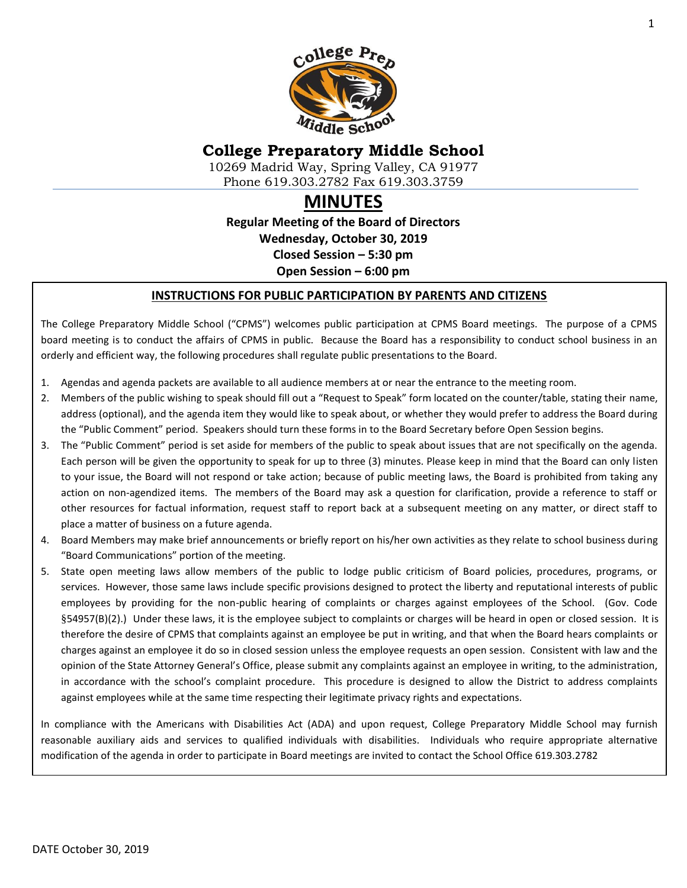

# **College Preparatory Middle School**

10269 Madrid Way, Spring Valley, CA 91977 Phone 619.303.2782 Fax 619.303.3759

# **MINUTES**

**Regular Meeting of the Board of Directors Wednesday, October 30, 2019 Closed Session – 5:30 pm Open Session – 6:00 pm**

#### **INSTRUCTIONS FOR PUBLIC PARTICIPATION BY PARENTS AND CITIZENS**

The College Preparatory Middle School ("CPMS") welcomes public participation at CPMS Board meetings. The purpose of a CPMS board meeting is to conduct the affairs of CPMS in public. Because the Board has a responsibility to conduct school business in an orderly and efficient way, the following procedures shall regulate public presentations to the Board.

- 1. Agendas and agenda packets are available to all audience members at or near the entrance to the meeting room.
- 2. Members of the public wishing to speak should fill out a "Request to Speak" form located on the counter/table, stating their name, address (optional), and the agenda item they would like to speak about, or whether they would prefer to address the Board during the "Public Comment" period. Speakers should turn these forms in to the Board Secretary before Open Session begins.
- 3. The "Public Comment" period is set aside for members of the public to speak about issues that are not specifically on the agenda. Each person will be given the opportunity to speak for up to three (3) minutes. Please keep in mind that the Board can only listen to your issue, the Board will not respond or take action; because of public meeting laws, the Board is prohibited from taking any action on non-agendized items. The members of the Board may ask a question for clarification, provide a reference to staff or other resources for factual information, request staff to report back at a subsequent meeting on any matter, or direct staff to place a matter of business on a future agenda.
- 4. Board Members may make brief announcements or briefly report on his/her own activities as they relate to school business during "Board Communications" portion of the meeting.
- 5. State open meeting laws allow members of the public to lodge public criticism of Board policies, procedures, programs, or services. However, those same laws include specific provisions designed to protect the liberty and reputational interests of public employees by providing for the non-public hearing of complaints or charges against employees of the School. (Gov. Code §54957(B)(2).) Under these laws, it is the employee subject to complaints or charges will be heard in open or closed session. It is therefore the desire of CPMS that complaints against an employee be put in writing, and that when the Board hears complaints or charges against an employee it do so in closed session unless the employee requests an open session. Consistent with law and the opinion of the State Attorney General's Office, please submit any complaints against an employee in writing, to the administration, in accordance with the school's complaint procedure. This procedure is designed to allow the District to address complaints against employees while at the same time respecting their legitimate privacy rights and expectations.

In compliance with the Americans with Disabilities Act (ADA) and upon request, College Preparatory Middle School may furnish reasonable auxiliary aids and services to qualified individuals with disabilities. Individuals who require appropriate alternative modification of the agenda in order to participate in Board meetings are invited to contact the School Office 619.303.2782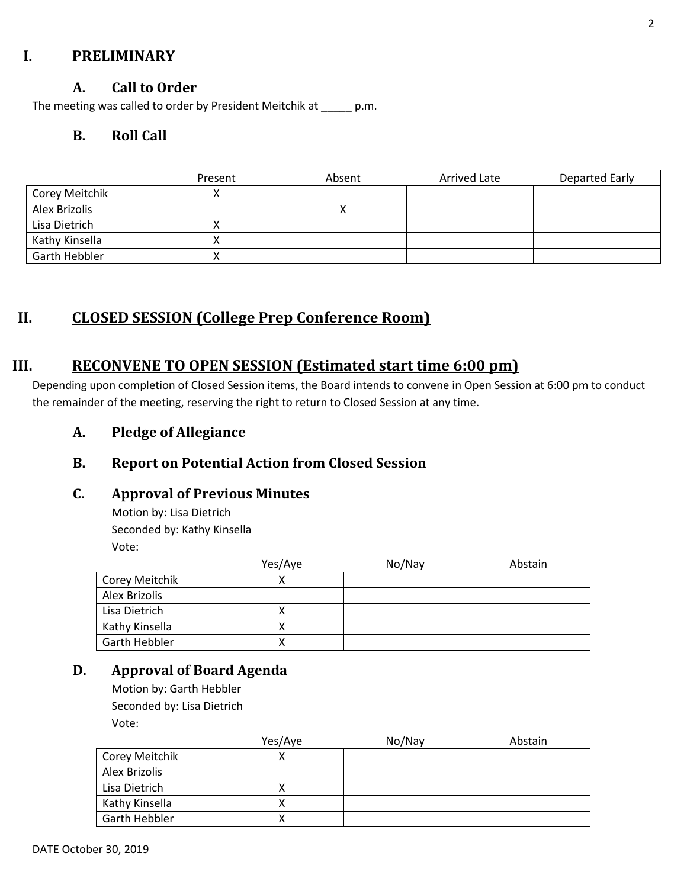# **I. PRELIMINARY**

## **A. Call to Order**

The meeting was called to order by President Meitchik at \_\_\_\_\_ p.m.

## **B. Roll Call**

|                      | Present | Absent | Arrived Late | Departed Early |
|----------------------|---------|--------|--------------|----------------|
| Corey Meitchik       |         |        |              |                |
| Alex Brizolis        |         |        |              |                |
| Lisa Dietrich        |         |        |              |                |
| Kathy Kinsella       |         |        |              |                |
| <b>Garth Hebbler</b> |         |        |              |                |

# **II. CLOSED SESSION (College Prep Conference Room)**

# **III. RECONVENE TO OPEN SESSION (Estimated start time 6:00 pm)**

Depending upon completion of Closed Session items, the Board intends to convene in Open Session at 6:00 pm to conduct the remainder of the meeting, reserving the right to return to Closed Session at any time.

**A. Pledge of Allegiance**

# **B. Report on Potential Action from Closed Session**

#### **C. Approval of Previous Minutes**

Motion by: Lisa Dietrich Seconded by: Kathy Kinsella Vote:

|                | Yes/Aye | No/Nay | Abstain |
|----------------|---------|--------|---------|
| Corey Meitchik |         |        |         |
| Alex Brizolis  |         |        |         |
| Lisa Dietrich  |         |        |         |
| Kathy Kinsella |         |        |         |
| Garth Hebbler  |         |        |         |

#### **D. Approval of Board Agenda**

Motion by: Garth Hebbler Seconded by: Lisa Dietrich Vote:

|                | Yes/Aye | No/Nay | Abstain |
|----------------|---------|--------|---------|
| Corey Meitchik |         |        |         |
| Alex Brizolis  |         |        |         |
| Lisa Dietrich  |         |        |         |
| Kathy Kinsella |         |        |         |
| Garth Hebbler  |         |        |         |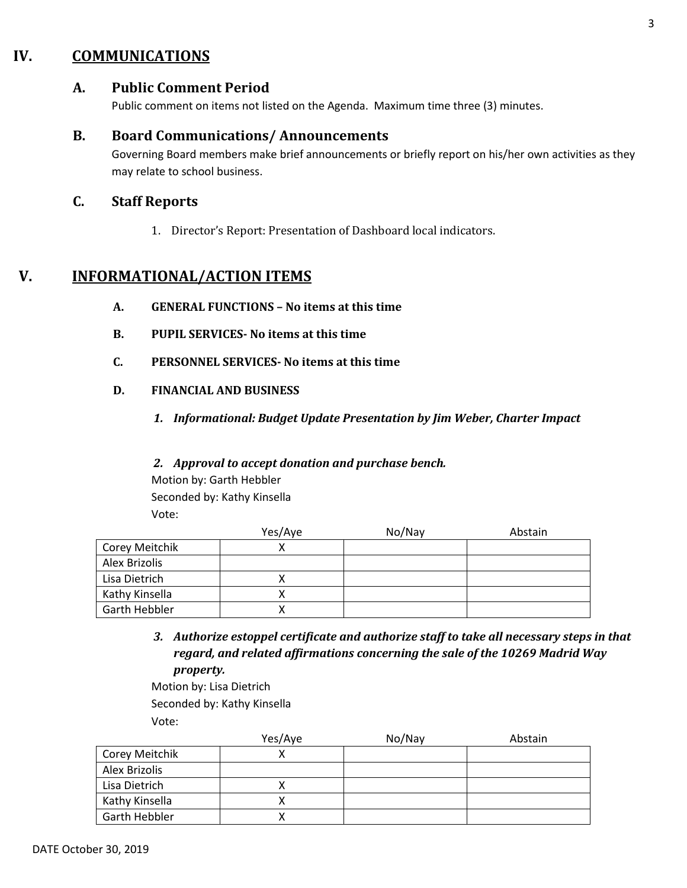# **IV. COMMUNICATIONS**

## **A. Public Comment Period**

Public comment on items not listed on the Agenda. Maximum time three (3) minutes.

#### **B. Board Communications/ Announcements**

Governing Board members make brief announcements or briefly report on his/her own activities as they may relate to school business.

#### **C. Staff Reports**

1. Director's Report: Presentation of Dashboard local indicators.

# **V. INFORMATIONAL/ACTION ITEMS**

- **A. GENERAL FUNCTIONS – No items at this time**
- **B. PUPIL SERVICES- No items at this time**
- **C. PERSONNEL SERVICES- No items at this time**
- **D. FINANCIAL AND BUSINESS**
	- *1. Informational: Budget Update Presentation by Jim Weber, Charter Impact*

#### *2. Approval to accept donation and purchase bench.*

Motion by: Garth Hebbler Seconded by: Kathy Kinsella Vote:

|                | Yes/Aye | No/Nay | Abstain |
|----------------|---------|--------|---------|
| Corey Meitchik |         |        |         |
| Alex Brizolis  |         |        |         |
| Lisa Dietrich  |         |        |         |
| Kathy Kinsella |         |        |         |
| Garth Hebbler  |         |        |         |

*3. Authorize estoppel certificate and authorize staff to take all necessary steps in that regard, and related affirmations concerning the sale of the 10269 Madrid Way property.*

Motion by: Lisa Dietrich Seconded by: Kathy Kinsella Vote:

|                | Yes/Aye | No/Nay | Abstain |
|----------------|---------|--------|---------|
| Corey Meitchik |         |        |         |
| Alex Brizolis  |         |        |         |
| Lisa Dietrich  |         |        |         |
| Kathy Kinsella |         |        |         |
| Garth Hebbler  |         |        |         |